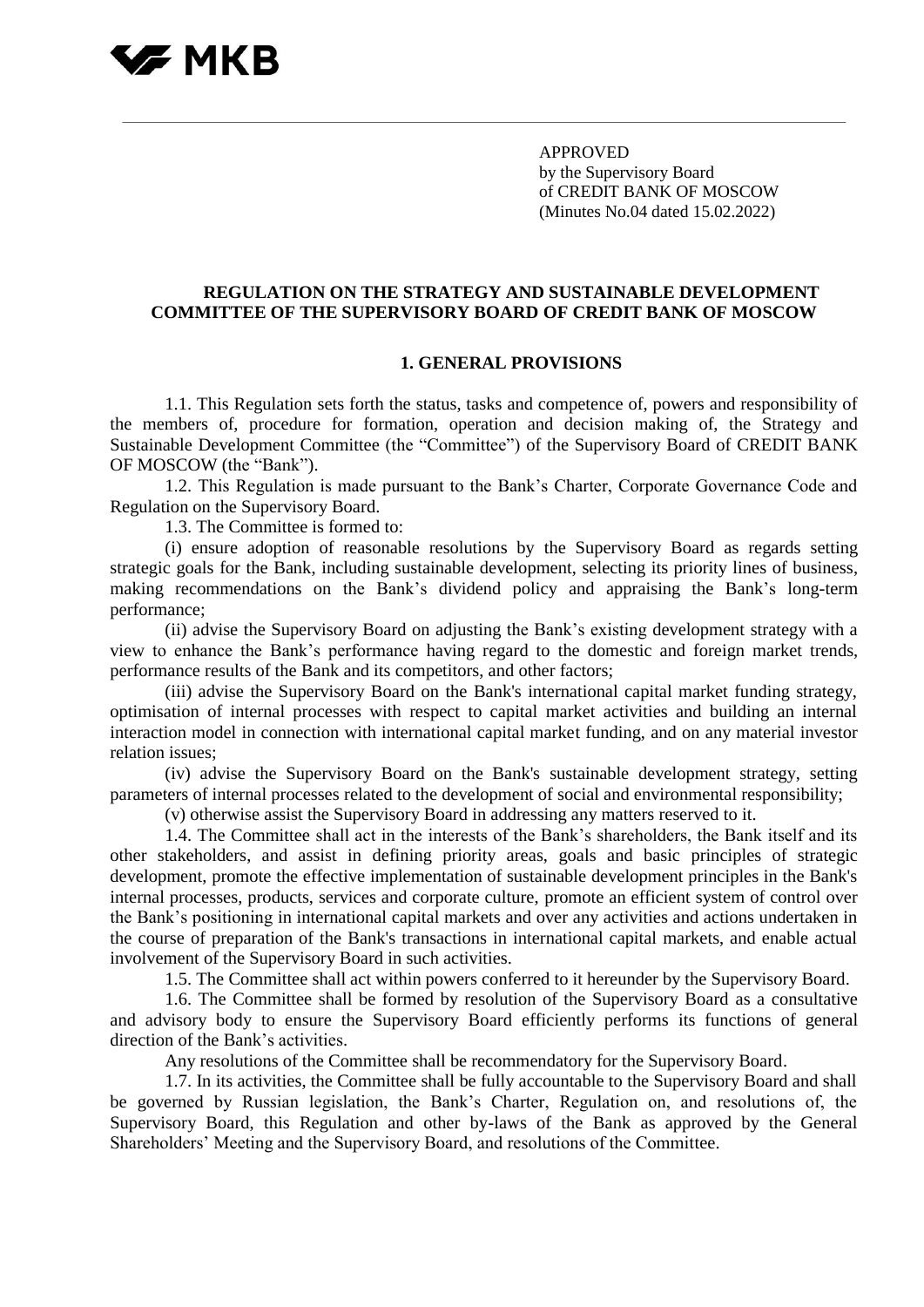# VZ MKR

APPROVED by the Supervisory Board of CREDIT BANK OF MOSCOW (Minutes No.04 dated 15.02.2022)

## **REGULATION ON THE STRATEGY AND SUSTAINABLE DEVELOPMENT COMMITTEE OF THE SUPERVISORY BOARD OF CREDIT BANK OF MOSCOW**

#### **1. GENERAL PROVISIONS**

1.1. This Regulation sets forth the status, tasks and competence of, powers and responsibility of the members of, procedure for formation, operation and decision making of, the Strategy and Sustainable Development Committee (the "Committee") of the Supervisory Board of CREDIT BANK OF MOSCOW (the "Bank").

1.2. This Regulation is made pursuant to the Bank's Charter, Corporate Governance Code and Regulation on the Supervisory Board.

1.3. The Committee is formed to:

(i) ensure adoption of reasonable resolutions by the Supervisory Board as regards setting strategic goals for the Bank, including sustainable development, selecting its priority lines of business, making recommendations on the Bank's dividend policy and appraising the Bank's long-term performance;

(ii) advise the Supervisory Board on adjusting the Bank's existing development strategy with a view to enhance the Bank's performance having regard to the domestic and foreign market trends, performance results of the Bank and its competitors, and other factors;

(iii) advise the Supervisory Board on the Bank's international capital market funding strategy, optimisation of internal processes with respect to capital market activities and building an internal interaction model in connection with international capital market funding, and on any material investor relation issues;

(iv) advise the Supervisory Board on the Bank's sustainable development strategy, setting parameters of internal processes related to the development of social and environmental responsibility;

(v) otherwise assist the Supervisory Board in addressing any matters reserved to it.

1.4. The Committee shall act in the interests of the Bank's shareholders, the Bank itself and its other stakeholders, and assist in defining priority areas, goals and basic principles of strategic development, promote the effective implementation of sustainable development principles in the Bank's internal processes, products, services and corporate culture, promote an efficient system of control over the Bank's positioning in international capital markets and over any activities and actions undertaken in the course of preparation of the Bank's transactions in international capital markets, and enable actual involvement of the Supervisory Board in such activities.

1.5. The Committee shall act within powers conferred to it hereunder by the Supervisory Board.

1.6. The Committee shall be formed by resolution of the Supervisory Board as a consultative and advisory body to ensure the Supervisory Board efficiently performs its functions of general direction of the Bank's activities.

Any resolutions of the Committee shall be recommendatory for the Supervisory Board.

1.7. In its activities, the Committee shall be fully accountable to the Supervisory Board and shall be governed by Russian legislation, the Bank's Charter, Regulation on, and resolutions of, the Supervisory Board, this Regulation and other by-laws of the Bank as approved by the General Shareholders' Meeting and the Supervisory Board, and resolutions of the Committee.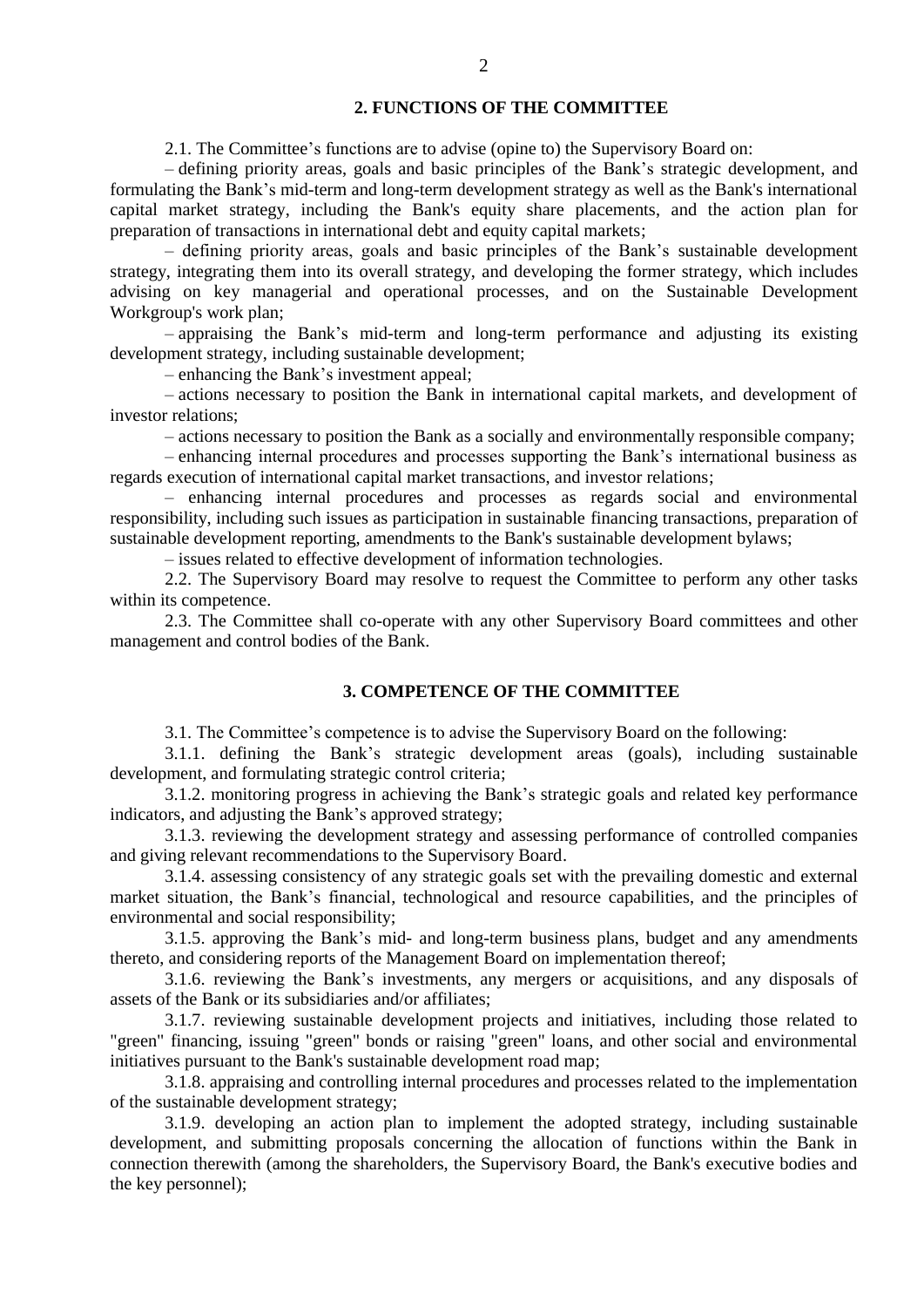# **2. FUNCTIONS OF THE COMMITTEE**

2.1. The Committee's functions are to advise (opine to) the Supervisory Board on:

– defining priority areas, goals and basic principles of the Bank's strategic development, and formulating the Bank's mid-term and long-term development strategy as well as the Bank's international capital market strategy, including the Bank's equity share placements, and the action plan for preparation of transactions in international debt and equity capital markets;

– defining priority areas, goals and basic principles of the Bank's sustainable development strategy, integrating them into its overall strategy, and developing the former strategy, which includes advising on key managerial and operational processes, and on the Sustainable Development Workgroup's work plan;

– appraising the Bank's mid-term and long-term performance and adjusting its existing development strategy, including sustainable development;

– enhancing the Bank's investment appeal;

– actions necessary to position the Bank in international capital markets, and development of investor relations;

– actions necessary to position the Bank as a socially and environmentally responsible company;

– enhancing internal procedures and processes supporting the Bank's international business as regards execution of international capital market transactions, and investor relations;

– enhancing internal procedures and processes as regards social and environmental responsibility, including such issues as participation in sustainable financing transactions, preparation of sustainable development reporting, amendments to the Bank's sustainable development bylaws;

– issues related to effective development of information technologies.

2.2. The Supervisory Board may resolve to request the Committee to perform any other tasks within its competence.

2.3. The Committee shall co-operate with any other Supervisory Board committees and other management and control bodies of the Bank.

# **3. COMPETENCE OF THE COMMITTEE**

3.1. The Committee's competence is to advise the Supervisory Board on the following:

3.1.1. defining the Bank's strategic development areas (goals), including sustainable development, and formulating strategic control criteria;

3.1.2. monitoring progress in achieving the Bank's strategic goals and related key performance indicators, and adjusting the Bank's approved strategy;

3.1.3. reviewing the development strategy and assessing performance of controlled companies and giving relevant recommendations to the Supervisory Board.

3.1.4. assessing consistency of any strategic goals set with the prevailing domestic and external market situation, the Bank's financial, technological and resource capabilities, and the principles of environmental and social responsibility;

3.1.5. approving the Bank's mid- and long-term business plans, budget and any amendments thereto, and considering reports of the Management Board on implementation thereof;

3.1.6. reviewing the Bank's investments, any mergers or acquisitions, and any disposals of assets of the Bank or its subsidiaries and/or affiliates;

3.1.7. reviewing sustainable development projects and initiatives, including those related to "green" financing, issuing "green" bonds or raising "green" loans, and other social and environmental initiatives pursuant to the Bank's sustainable development road map;

3.1.8. appraising and controlling internal procedures and processes related to the implementation of the sustainable development strategy;

3.1.9. developing an action plan to implement the adopted strategy, including sustainable development, and submitting proposals concerning the allocation of functions within the Bank in connection therewith (among the shareholders, the Supervisory Board, the Bank's executive bodies and the key personnel);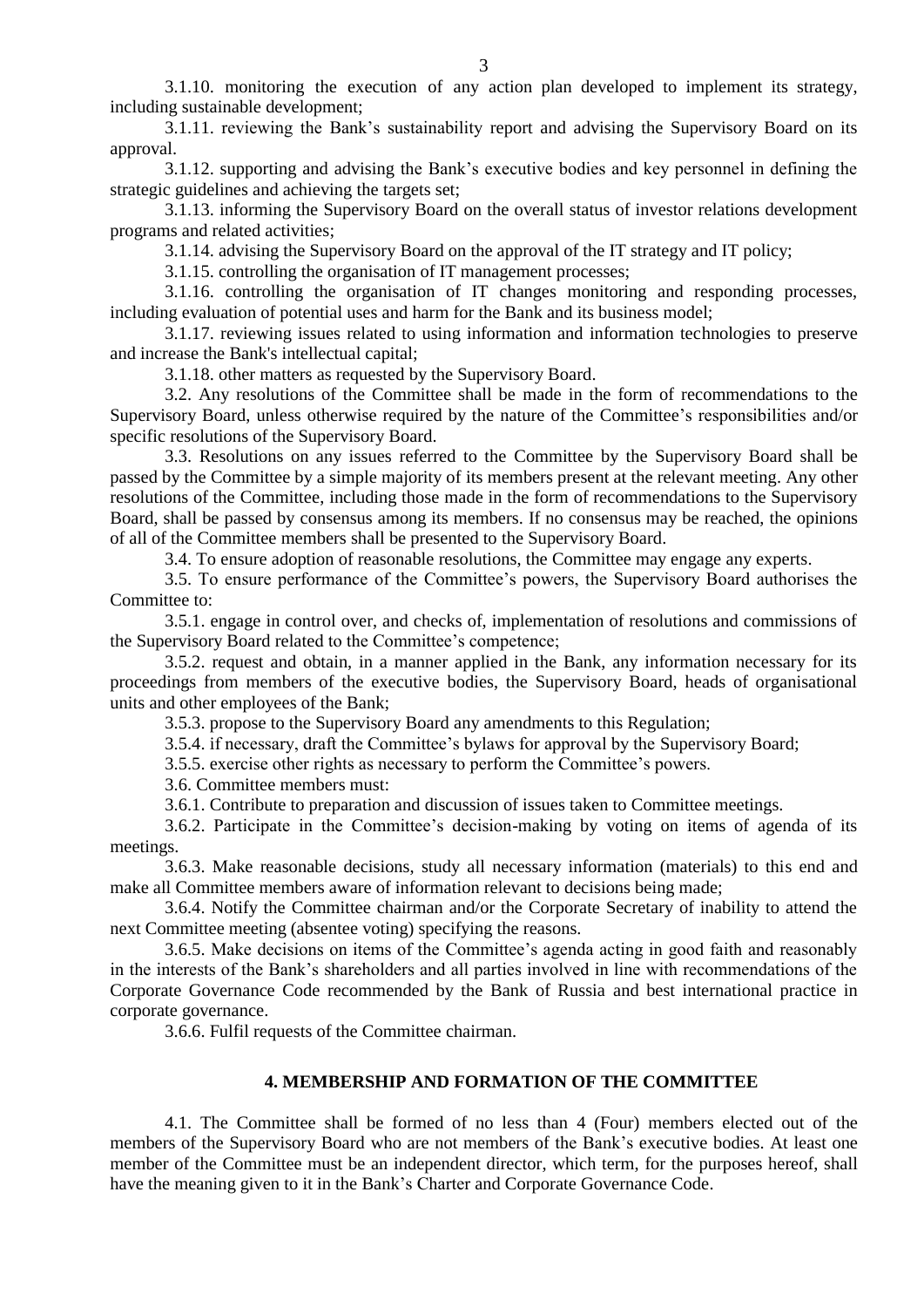3.1.10. monitoring the execution of any action plan developed to implement its strategy, including sustainable development;

3.1.11. reviewing the Bank's sustainability report and advising the Supervisory Board on its approval.

3.1.12. supporting and advising the Bank's executive bodies and key personnel in defining the strategic guidelines and achieving the targets set;

3.1.13. informing the Supervisory Board on the overall status of investor relations development programs and related activities;

3.1.14. advising the Supervisory Board on the approval of the IT strategy and IT policy;

3.1.15. controlling the organisation of IT management processes;

3.1.16. controlling the organisation of IT changes monitoring and responding processes, including evaluation of potential uses and harm for the Bank and its business model;

3.1.17. reviewing issues related to using information and information technologies to preserve and increase the Bank's intellectual capital;

3.1.18. other matters as requested by the Supervisory Board.

3.2. Any resolutions of the Committee shall be made in the form of recommendations to the Supervisory Board, unless otherwise required by the nature of the Committee's responsibilities and/or specific resolutions of the Supervisory Board.

3.3. Resolutions on any issues referred to the Committee by the Supervisory Board shall be passed by the Committee by a simple majority of its members present at the relevant meeting. Any other resolutions of the Committee, including those made in the form of recommendations to the Supervisory Board, shall be passed by consensus among its members. If no consensus may be reached, the opinions of all of the Committee members shall be presented to the Supervisory Board.

3.4. To ensure adoption of reasonable resolutions, the Committee may engage any experts.

3.5. To ensure performance of the Committee's powers, the Supervisory Board authorises the Committee to:

3.5.1. engage in control over, and checks of, implementation of resolutions and commissions of the Supervisory Board related to the Committee's competence;

3.5.2. request and obtain, in a manner applied in the Bank, any information necessary for its proceedings from members of the executive bodies, the Supervisory Board, heads of organisational units and other employees of the Bank;

3.5.3. propose to the Supervisory Board any amendments to this Regulation;

3.5.4. if necessary, draft the Committee's bylaws for approval by the Supervisory Board;

3.5.5. exercise other rights as necessary to perform the Committee's powers.

3.6. Committee members must:

3.6.1. Contribute to preparation and discussion of issues taken to Committee meetings.

3.6.2. Participate in the Committee's decision-making by voting on items of agenda of its meetings.

3.6.3. Make reasonable decisions, study all necessary information (materials) to this end and make all Committee members aware of information relevant to decisions being made;

3.6.4. Notify the Committee chairman and/or the Corporate Secretary of inability to attend the next Committee meeting (absentee voting) specifying the reasons.

3.6.5. Make decisions on items of the Committee's agenda acting in good faith and reasonably in the interests of the Bank's shareholders and all parties involved in line with recommendations of the Corporate Governance Code recommended by the Bank of Russia and best international practice in corporate governance.

3.6.6. Fulfil requests of the Committee chairman.

# **4. MEMBERSHIP AND FORMATION OF THE COMMITTEE**

4.1. The Committee shall be formed of no less than 4 (Four) members elected out of the members of the Supervisory Board who are not members of the Bank's executive bodies. At least one member of the Committee must be an independent director, which term, for the purposes hereof, shall have the meaning given to it in the Bank's Charter and Corporate Governance Code.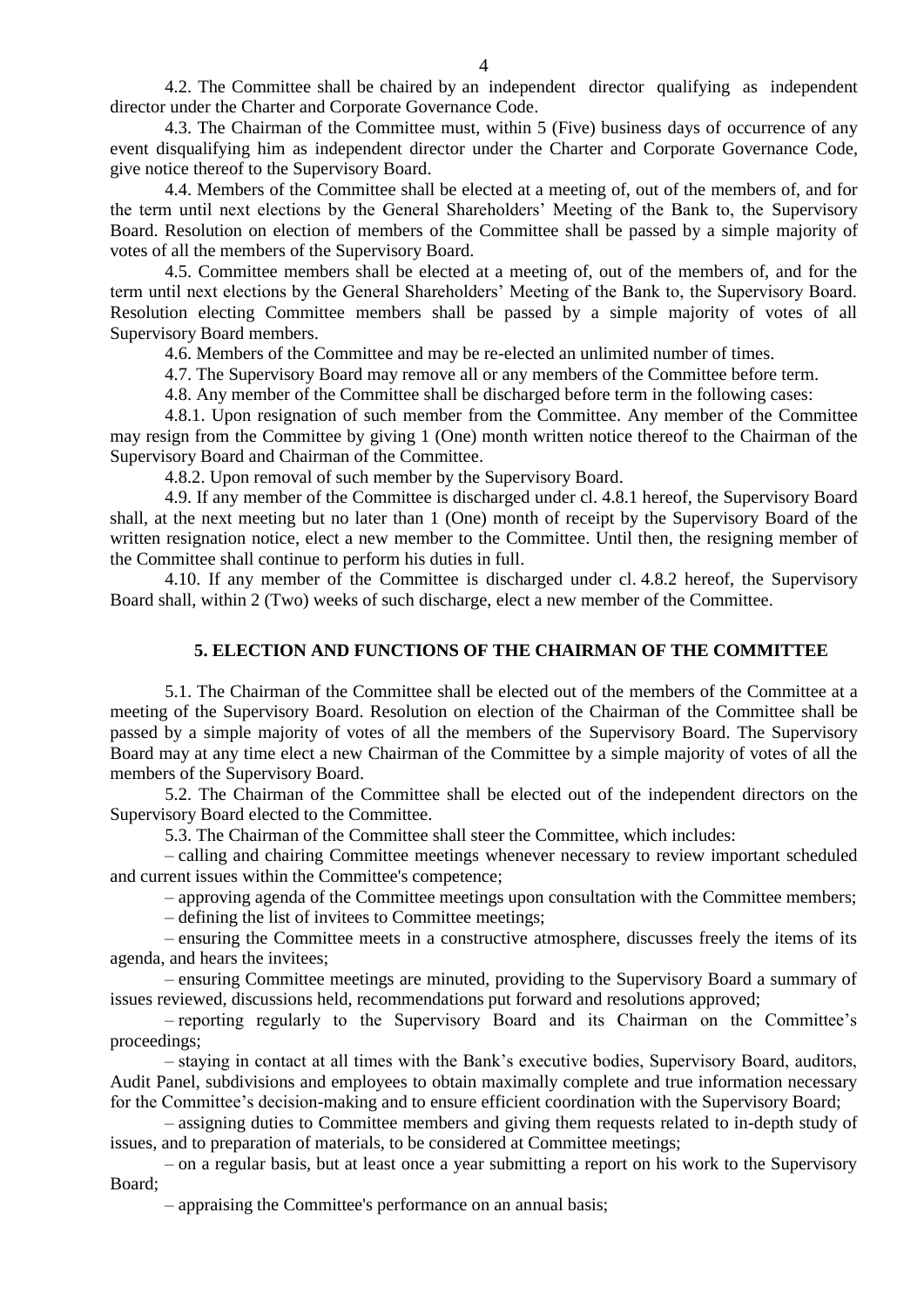4.2. The Committee shall be chaired by an independent director qualifying as independent director under the Charter and Corporate Governance Code.

4.3. The Chairman of the Committee must, within 5 (Five) business days of occurrence of any event disqualifying him as independent director under the Charter and Corporate Governance Code, give notice thereof to the Supervisory Board.

4.4. Members of the Committee shall be elected at a meeting of, out of the members of, and for the term until next elections by the General Shareholders' Meeting of the Bank to, the Supervisory Board. Resolution on election of members of the Committee shall be passed by a simple majority of votes of all the members of the Supervisory Board.

4.5. Committee members shall be elected at a meeting of, out of the members of, and for the term until next elections by the General Shareholders' Meeting of the Bank to, the Supervisory Board. Resolution electing Committee members shall be passed by a simple majority of votes of all Supervisory Board members.

4.6. Members of the Committee and may be re-elected an unlimited number of times.

4.7. The Supervisory Board may remove all or any members of the Committee before term.

4.8. Any member of the Committee shall be discharged before term in the following cases:

4.8.1. Upon resignation of such member from the Committee. Any member of the Committee may resign from the Committee by giving 1 (One) month written notice thereof to the Chairman of the Supervisory Board and Chairman of the Committee.

4.8.2. Upon removal of such member by the Supervisory Board.

4.9. If any member of the Committee is discharged under cl. 4.8.1 hereof, the Supervisory Board shall, at the next meeting but no later than 1 (One) month of receipt by the Supervisory Board of the written resignation notice, elect a new member to the Committee. Until then, the resigning member of the Committee shall continue to perform his duties in full.

4.10. If any member of the Committee is discharged under cl. 4.8.2 hereof, the Supervisory Board shall, within 2 (Two) weeks of such discharge, elect a new member of the Committee.

#### **5. ELECTION AND FUNCTIONS OF THE CHAIRMAN OF THE COMMITTEE**

5.1. The Chairman of the Committee shall be elected out of the members of the Committee at a meeting of the Supervisory Board. Resolution on election of the Chairman of the Committee shall be passed by a simple majority of votes of all the members of the Supervisory Board. The Supervisory Board may at any time elect a new Chairman of the Committee by a simple majority of votes of all the members of the Supervisory Board.

5.2. The Chairman of the Committee shall be elected out of the independent directors on the Supervisory Board elected to the Committee.

5.3. The Chairman of the Committee shall steer the Committee, which includes:

– calling and chairing Committee meetings whenever necessary to review important scheduled and current issues within the Committee's competence;

– approving agenda of the Committee meetings upon consultation with the Committee members;

– defining the list of invitees to Committee meetings;

– ensuring the Committee meets in a constructive atmosphere, discusses freely the items of its agenda, and hears the invitees;

– ensuring Committee meetings are minuted, providing to the Supervisory Board a summary of issues reviewed, discussions held, recommendations put forward and resolutions approved;

– reporting regularly to the Supervisory Board and its Chairman on the Committee's proceedings;

– staying in contact at all times with the Bank's executive bodies, Supervisory Board, auditors, Audit Panel, subdivisions and employees to obtain maximally complete and true information necessary for the Committee's decision-making and to ensure efficient coordination with the Supervisory Board;

– assigning duties to Committee members and giving them requests related to in-depth study of issues, and to preparation of materials, to be considered at Committee meetings;

– on a regular basis, but at least once a year submitting a report on his work to the Supervisory Board;

– appraising the Committee's performance on an annual basis;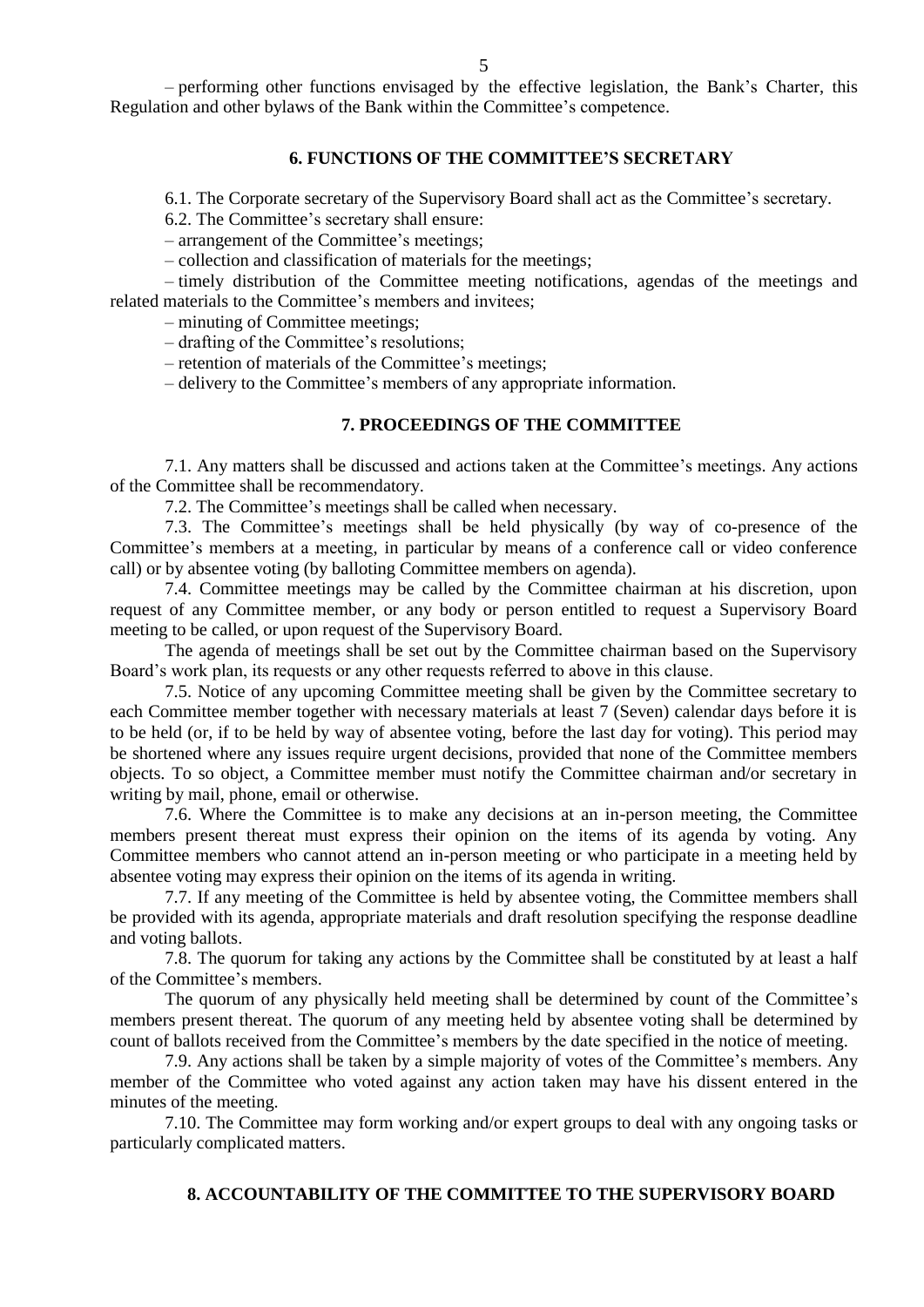– performing other functions envisaged by the effective legislation, the Bank's Charter, this Regulation and other bylaws of the Bank within the Committee's competence.

#### **6. FUNCTIONS OF THE COMMITTEE'S SECRETARY**

6.1. The Corporate secretary of the Supervisory Board shall act as the Committee's secretary.

6.2. The Committee's secretary shall ensure:

– arrangement of the Committee's meetings;

– collection and classification of materials for the meetings;

– timely distribution of the Committee meeting notifications, agendas of the meetings and related materials to the Committee's members and invitees;

– minuting of Committee meetings;

– drafting of the Committee's resolutions;

– retention of materials of the Committee's meetings;

– delivery to the Committee's members of any appropriate information.

# **7. PROCEEDINGS OF THE COMMITTEE**

7.1. Any matters shall be discussed and actions taken at the Committee's meetings. Any actions of the Committee shall be recommendatory.

7.2. The Committee's meetings shall be called when necessary.

7.3. The Committee's meetings shall be held physically (by way of co-presence of the Committee's members at a meeting, in particular by means of a conference call or video conference call) or by absentee voting (by balloting Committee members on agenda).

7.4. Committee meetings may be called by the Committee chairman at his discretion, upon request of any Committee member, or any body or person entitled to request a Supervisory Board meeting to be called, or upon request of the Supervisory Board.

The agenda of meetings shall be set out by the Committee chairman based on the Supervisory Board's work plan, its requests or any other requests referred to above in this clause.

7.5. Notice of any upcoming Committee meeting shall be given by the Committee secretary to each Committee member together with necessary materials at least 7 (Seven) calendar days before it is to be held (or, if to be held by way of absentee voting, before the last day for voting). This period may be shortened where any issues require urgent decisions, provided that none of the Committee members objects. To so object, a Committee member must notify the Committee chairman and/or secretary in writing by mail, phone, email or otherwise.

7.6. Where the Committee is to make any decisions at an in-person meeting, the Committee members present thereat must express their opinion on the items of its agenda by voting. Any Committee members who cannot attend an in-person meeting or who participate in a meeting held by absentee voting may express their opinion on the items of its agenda in writing.

7.7. If any meeting of the Committee is held by absentee voting, the Committee members shall be provided with its agenda, appropriate materials and draft resolution specifying the response deadline and voting ballots.

7.8. The quorum for taking any actions by the Committee shall be constituted by at least a half of the Committee's members.

The quorum of any physically held meeting shall be determined by count of the Committee's members present thereat. The quorum of any meeting held by absentee voting shall be determined by count of ballots received from the Committee's members by the date specified in the notice of meeting.

7.9. Any actions shall be taken by a simple majority of votes of the Committee's members. Any member of the Committee who voted against any action taken may have his dissent entered in the minutes of the meeting.

7.10. The Committee may form working and/or expert groups to deal with any ongoing tasks or particularly complicated matters.

#### **8. ACCOUNTABILITY OF THE COMMITTEE TO THE SUPERVISORY BOARD**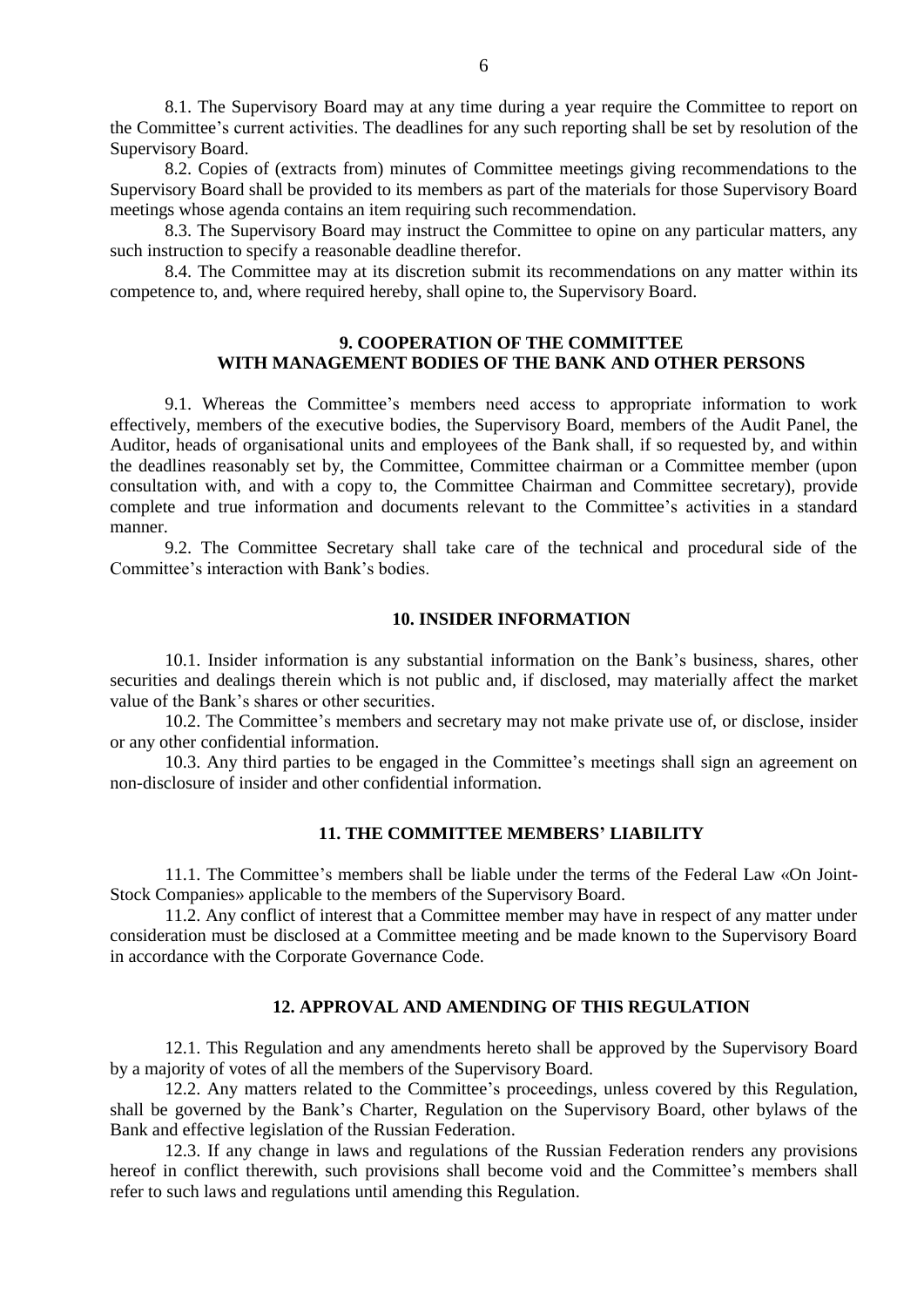8.1. The Supervisory Board may at any time during a year require the Committee to report on the Committee's current activities. The deadlines for any such reporting shall be set by resolution of the Supervisory Board.

8.2. Copies of (extracts from) minutes of Committee meetings giving recommendations to the Supervisory Board shall be provided to its members as part of the materials for those Supervisory Board meetings whose agenda contains an item requiring such recommendation.

8.3. The Supervisory Board may instruct the Committee to opine on any particular matters, any such instruction to specify a reasonable deadline therefor.

8.4. The Committee may at its discretion submit its recommendations on any matter within its competence to, and, where required hereby, shall opine to, the Supervisory Board.

## **9. COOPERATION OF THE COMMITTEE WITH MANAGEMENT BODIES OF THE BANK AND OTHER PERSONS**

9.1. Whereas the Committee's members need access to appropriate information to work effectively, members of the executive bodies, the Supervisory Board, members of the Audit Panel, the Auditor, heads of organisational units and employees of the Bank shall, if so requested by, and within the deadlines reasonably set by, the Committee, Committee chairman or a Committee member (upon consultation with, and with a copy to, the Committee Chairman and Committee secretary), provide complete and true information and documents relevant to the Committee's activities in a standard manner.

9.2. The Committee Secretary shall take care of the technical and procedural side of the Committee's interaction with Bank's bodies.

#### **10. INSIDER INFORMATION**

10.1. Insider information is any substantial information on the Bank's business, shares, other securities and dealings therein which is not public and, if disclosed, may materially affect the market value of the Bank's shares or other securities.

10.2. The Committee's members and secretary may not make private use of, or disclose, insider or any other confidential information.

10.3. Any third parties to be engaged in the Committee's meetings shall sign an agreement on non-disclosure of insider and other confidential information.

#### **11. THE COMMITTEE MEMBERS' LIABILITY**

11.1. The Committee's members shall be liable under the terms of the Federal Law «On Joint-Stock Companies» applicable to the members of the Supervisory Board.

11.2. Any conflict of interest that a Committee member may have in respect of any matter under consideration must be disclosed at a Committee meeting and be made known to the Supervisory Board in accordance with the Corporate Governance Code.

#### **12. APPROVAL AND AMENDING OF THIS REGULATION**

12.1. This Regulation and any amendments hereto shall be approved by the Supervisory Board by a majority of votes of all the members of the Supervisory Board.

12.2. Any matters related to the Committee's proceedings, unless covered by this Regulation, shall be governed by the Bank's Charter, Regulation on the Supervisory Board, other bylaws of the Bank and effective legislation of the Russian Federation.

12.3. If any change in laws and regulations of the Russian Federation renders any provisions hereof in conflict therewith, such provisions shall become void and the Committee's members shall refer to such laws and regulations until amending this Regulation.